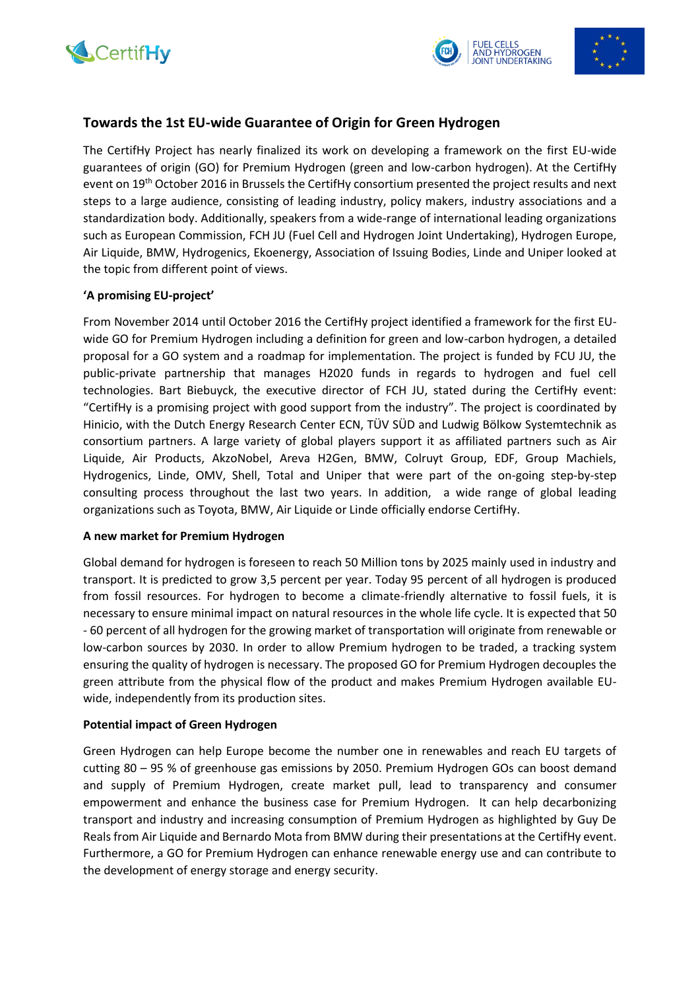





# **Towards the 1st EU-wide Guarantee of Origin for Green Hydrogen**

The CertifHy Project has nearly finalized its work on developing a framework on the first EU-wide guarantees of origin (GO) for Premium Hydrogen (green and low-carbon hydrogen). At the CertifHy event on 19<sup>th</sup> October 2016 in Brussels the CertifHy consortium presented the project results and next steps to a large audience, consisting of leading industry, policy makers, industry associations and a standardization body. Additionally, speakers from a wide-range of international leading organizations such as European Commission, FCH JU (Fuel Cell and Hydrogen Joint Undertaking), Hydrogen Europe, Air Liquide, BMW, Hydrogenics, Ekoenergy, Association of Issuing Bodies, Linde and Uniper looked at the topic from different point of views.

## **'A promising EU-project'**

From November 2014 until October 2016 the CertifHy project identified a framework for the first EUwide GO for Premium Hydrogen including a definition for green and low-carbon hydrogen, a detailed proposal for a GO system and a roadmap for implementation. The project is funded by FCU JU, the public-private partnership that manages H2020 funds in regards to hydrogen and fuel cell technologies. Bart Biebuyck, the executive director of FCH JU, stated during the CertifHy event: "CertifHy is a promising project with good support from the industry". The project is coordinated by Hinicio, with the Dutch Energy Research Center ECN, TÜV SÜD and Ludwig Bölkow Systemtechnik as consortium partners. A large variety of global players support it as affiliated partners such as Air Liquide, Air Products, AkzoNobel, Areva H2Gen, BMW, Colruyt Group, EDF, Group Machiels, Hydrogenics, Linde, OMV, Shell, Total and Uniper that were part of the on-going step-by-step consulting process throughout the last two years. In addition, a wide range of global leading organizations such as Toyota, BMW, Air Liquide or Linde officially endorse CertifHy.

#### **A new market for Premium Hydrogen**

Global demand for hydrogen is foreseen to reach 50 Million tons by 2025 mainly used in industry and transport. It is predicted to grow 3,5 percent per year. Today 95 percent of all hydrogen is produced from fossil resources. For hydrogen to become a climate-friendly alternative to fossil fuels, it is necessary to ensure minimal impact on natural resources in the whole life cycle. It is expected that 50 - 60 percent of all hydrogen for the growing market of transportation will originate from renewable or low-carbon sources by 2030. In order to allow Premium hydrogen to be traded, a tracking system ensuring the quality of hydrogen is necessary. The proposed GO for Premium Hydrogen decouples the green attribute from the physical flow of the product and makes Premium Hydrogen available EUwide, independently from its production sites.

#### **Potential impact of Green Hydrogen**

Green Hydrogen can help Europe become the number one in renewables and reach EU targets of cutting 80 – 95 % of greenhouse gas emissions by 2050. Premium Hydrogen GOs can boost demand and supply of Premium Hydrogen, create market pull, lead to transparency and consumer empowerment and enhance the business case for Premium Hydrogen. It can help decarbonizing transport and industry and increasing consumption of Premium Hydrogen as highlighted by Guy De Reals from Air Liquide and Bernardo Mota from BMW during their presentations at the CertifHy event. Furthermore, a GO for Premium Hydrogen can enhance renewable energy use and can contribute to the development of energy storage and energy security.